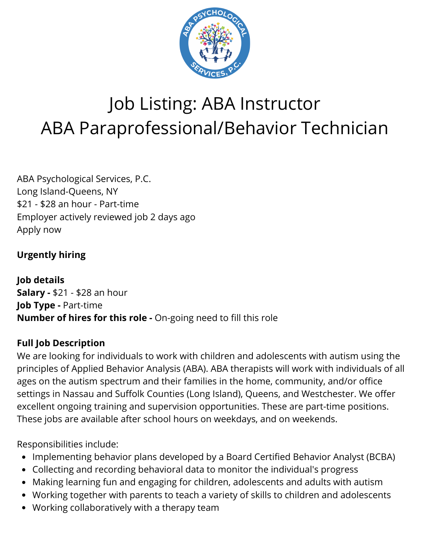

# Job Listing: ABA Instructor ABA Paraprofessional/Behavior Technician

ABA Psychological Services, P.C. Long Island-Queens, NY \$21 - \$28 an hour - Part-time Employer actively reviewed job 2 days ago Apply now

### **Urgently hiring**

**Job details Salary -** \$21 - \$28 an hour **Job Type -** Part-time **Number of hires for this role -** On-going need to fill this role

### **Full Job Description**

We are looking for individuals to work with children and adolescents with autism using the principles of Applied Behavior Analysis (ABA). ABA therapists will work with individuals of all ages on the autism spectrum and their families in the home, community, and/or office settings in Nassau and Suffolk Counties (Long Island), Queens, and Westchester. We offer excellent ongoing training and supervision opportunities. These are part-time positions. These jobs are available after school hours on weekdays, and on weekends.

Responsibilities include:

- Implementing behavior plans developed by a Board Certified Behavior Analyst (BCBA)
- Collecting and recording behavioral data to monitor the individual's progress
- Making learning fun and engaging for children, adolescents and adults with autism
- Working together with parents to teach a variety of skills to children and adolescents
- Working collaboratively with a therapy team